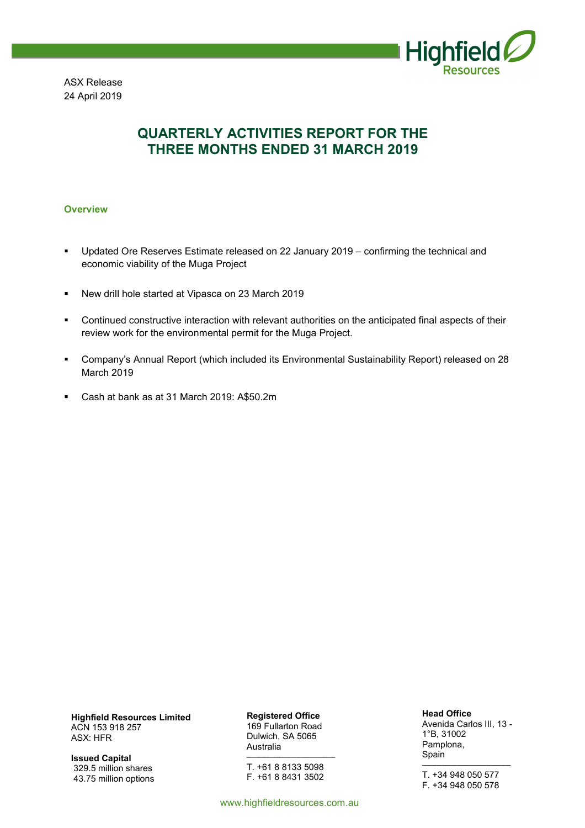

ASX Release 24 April 2019

## **QUARTERLY ACTIVITIES REPORT FOR THE THREE MONTHS ENDED 31 MARCH 2019**

#### **Overview**

- Updated Ore Reserves Estimate released on 22 January 2019 confirming the technical and economic viability of the Muga Project
- New drill hole started at Vipasca on 23 March 2019
- Continued constructive interaction with relevant authorities on the anticipated final aspects of their review work for the environmental permit for the Muga Project.
- Company's Annual Report (which included its Environmental Sustainability Report) released on 28 March 2019
- Cash at bank as at 31 March 2019: A\$50.2m

**Highfield Resources Limited**  ACN 153 918 257 ASX: HFR

**Issued Capital**  329.5 million shares 43.75 million options **Registered Office**  169 Fullarton Road Dulwich, SA 5065 Australia ––––––––––––––––––

T. +61 8 8133 5098 F. +61 8 8431 3502

www.highfieldresources.com.au

**Head Office** 

Avenida Carlos III, 13 - 1°B, 31002 Pamplona, Spain ––––––––––––––––––

T. +34 948 050 577 F. +34 948 050 578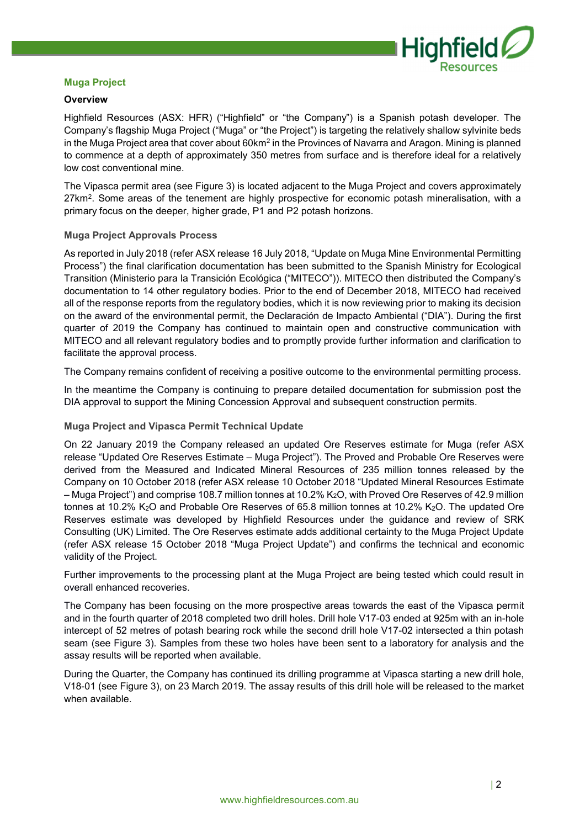

#### **Muga Project**

#### **Overview**

Highfield Resources (ASX: HFR) ("Highfield" or "the Company") is a Spanish potash developer. The Company's flagship Muga Project ("Muga" or "the Project") is targeting the relatively shallow sylvinite beds in the Muga Project area that cover about 60km<sup>2</sup> in the Provinces of Navarra and Aragon. Mining is planned to commence at a depth of approximately 350 metres from surface and is therefore ideal for a relatively low cost conventional mine.

The Vipasca permit area (see Figure 3) is located adjacent to the Muga Project and covers approximately 27km<sup>2</sup>. Some areas of the tenement are highly prospective for economic potash mineralisation, with a primary focus on the deeper, higher grade, P1 and P2 potash horizons.

#### **Muga Project Approvals Process**

As reported in July 2018 (refer ASX release 16 July 2018, "Update on Muga Mine Environmental Permitting Process") the final clarification documentation has been submitted to the Spanish Ministry for Ecological Transition (Ministerio para la Transición Ecológica ("MITECO")). MITECO then distributed the Company's documentation to 14 other regulatory bodies. Prior to the end of December 2018, MITECO had received all of the response reports from the regulatory bodies, which it is now reviewing prior to making its decision on the award of the environmental permit, the Declaración de Impacto Ambiental ("DIA"). During the first quarter of 2019 the Company has continued to maintain open and constructive communication with MITECO and all relevant regulatory bodies and to promptly provide further information and clarification to facilitate the approval process.

The Company remains confident of receiving a positive outcome to the environmental permitting process.

In the meantime the Company is continuing to prepare detailed documentation for submission post the DIA approval to support the Mining Concession Approval and subsequent construction permits.

#### **Muga Project and Vipasca Permit Technical Update**

On 22 January 2019 the Company released an updated Ore Reserves estimate for Muga (refer ASX release "Updated Ore Reserves Estimate – Muga Project"). The Proved and Probable Ore Reserves were derived from the Measured and Indicated Mineral Resources of 235 million tonnes released by the Company on 10 October 2018 (refer ASX release 10 October 2018 "Updated Mineral Resources Estimate – Muga Project") and comprise 108.7 million tonnes at 10.2% K2O, with Proved Ore Reserves of 42.9 million tonnes at 10.2%  $K_2O$  and Probable Ore Reserves of 65.8 million tonnes at 10.2%  $K_2O$ . The updated Ore Reserves estimate was developed by Highfield Resources under the guidance and review of SRK Consulting (UK) Limited. The Ore Reserves estimate adds additional certainty to the Muga Project Update (refer ASX release 15 October 2018 "Muga Project Update") and confirms the technical and economic validity of the Project.

Further improvements to the processing plant at the Muga Project are being tested which could result in overall enhanced recoveries.

The Company has been focusing on the more prospective areas towards the east of the Vipasca permit and in the fourth quarter of 2018 completed two drill holes. Drill hole V17-03 ended at 925m with an in-hole intercept of 52 metres of potash bearing rock while the second drill hole V17-02 intersected a thin potash seam (see Figure 3). Samples from these two holes have been sent to a laboratory for analysis and the assay results will be reported when available.

During the Quarter, the Company has continued its drilling programme at Vipasca starting a new drill hole, V18-01 (see Figure 3), on 23 March 2019. The assay results of this drill hole will be released to the market when available.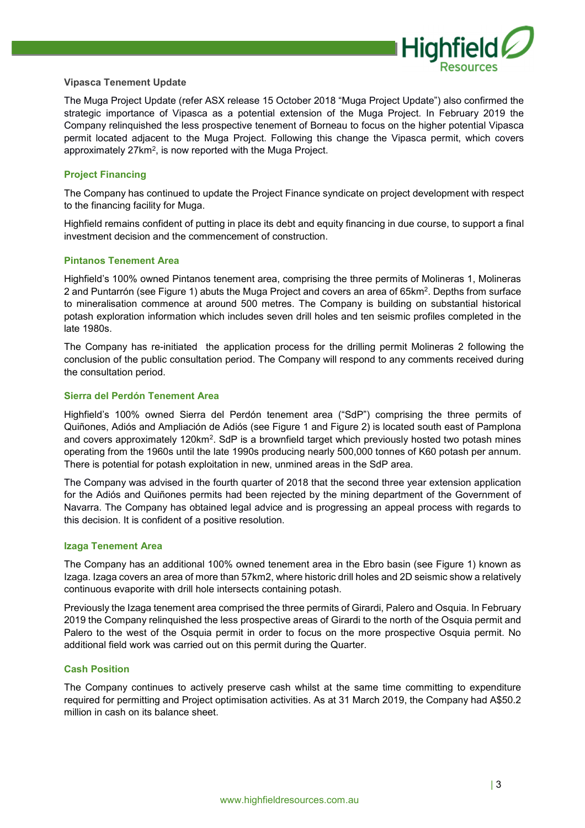

#### **Vipasca Tenement Update**

The Muga Project Update (refer ASX release 15 October 2018 "Muga Project Update") also confirmed the strategic importance of Vipasca as a potential extension of the Muga Project. In February 2019 the Company relinquished the less prospective tenement of Borneau to focus on the higher potential Vipasca permit located adjacent to the Muga Project. Following this change the Vipasca permit, which covers approximately 27km<sup>2</sup>, is now reported with the Muga Project.

#### **Project Financing**

The Company has continued to update the Project Finance syndicate on project development with respect to the financing facility for Muga.

Highfield remains confident of putting in place its debt and equity financing in due course, to support a final investment decision and the commencement of construction.

#### **Pintanos Tenement Area**

Highfield's 100% owned Pintanos tenement area, comprising the three permits of Molineras 1, Molineras 2 and Puntarrón (see Figure 1) abuts the Muga Project and covers an area of 65km<sup>2</sup>. Depths from surface to mineralisation commence at around 500 metres. The Company is building on substantial historical potash exploration information which includes seven drill holes and ten seismic profiles completed in the late 1980s.

The Company has re-initiated the application process for the drilling permit Molineras 2 following the conclusion of the public consultation period. The Company will respond to any comments received during the consultation period.

#### **Sierra del Perdón Tenement Area**

Highfield's 100% owned Sierra del Perdón tenement area ("SdP") comprising the three permits of Quiñones, Adiós and Ampliación de Adiós (see Figure 1 and Figure 2) is located south east of Pamplona and covers approximately 120km<sup>2</sup>. SdP is a brownfield target which previously hosted two potash mines operating from the 1960s until the late 1990s producing nearly 500,000 tonnes of K60 potash per annum. There is potential for potash exploitation in new, unmined areas in the SdP area.

The Company was advised in the fourth quarter of 2018 that the second three year extension application for the Adiós and Quiñones permits had been rejected by the mining department of the Government of Navarra. The Company has obtained legal advice and is progressing an appeal process with regards to this decision. It is confident of a positive resolution.

#### **Izaga Tenement Area**

The Company has an additional 100% owned tenement area in the Ebro basin (see Figure 1) known as Izaga. Izaga covers an area of more than 57km2, where historic drill holes and 2D seismic show a relatively continuous evaporite with drill hole intersects containing potash.

Previously the Izaga tenement area comprised the three permits of Girardi, Palero and Osquia. In February 2019 the Company relinquished the less prospective areas of Girardi to the north of the Osquia permit and Palero to the west of the Osquia permit in order to focus on the more prospective Osquia permit. No additional field work was carried out on this permit during the Quarter.

#### **Cash Position**

The Company continues to actively preserve cash whilst at the same time committing to expenditure required for permitting and Project optimisation activities. As at 31 March 2019, the Company had A\$50.2 million in cash on its balance sheet.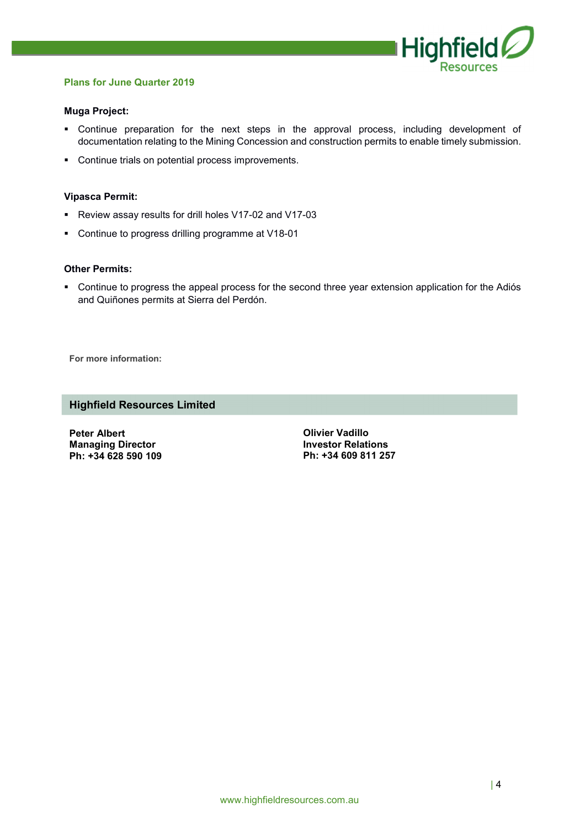

#### **Plans for June Quarter 2019**

#### **Muga Project:**

- Continue preparation for the next steps in the approval process, including development of documentation relating to the Mining Concession and construction permits to enable timely submission.
- **Continue trials on potential process improvements.**

#### **Vipasca Permit:**

- Review assay results for drill holes V17-02 and V17-03
- Continue to progress drilling programme at V18-01

#### **Other Permits:**

• Continue to progress the appeal process for the second three year extension application for the Adiós and Quiñones permits at Sierra del Perdón.

**For more information:** 

## **Highfield Resources Limited**

**Peter Albert Managing Director Ph: +34 628 590 109**  **Olivier Vadillo Investor Relations Ph: +34 609 811 257**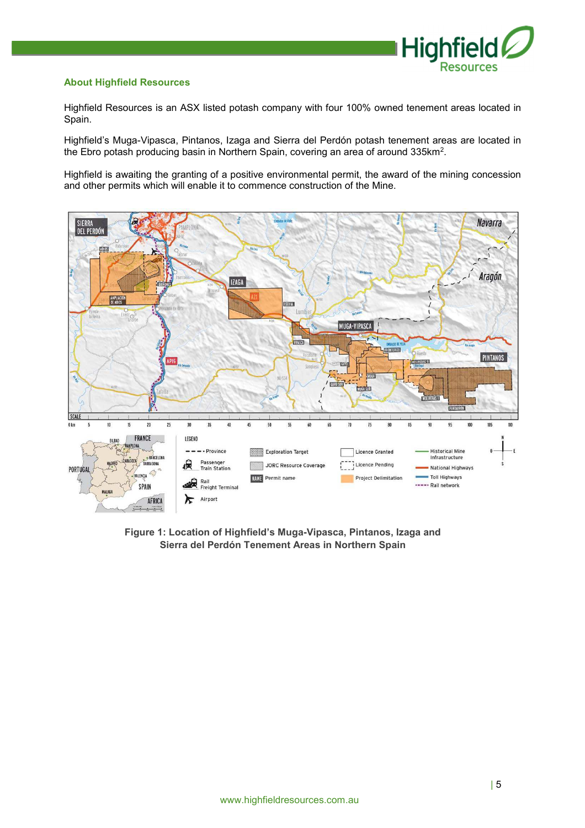

#### **About Highfield Resources**

Highfield Resources is an ASX listed potash company with four 100% owned tenement areas located in Spain.

Highfield's Muga-Vipasca, Pintanos, Izaga and Sierra del Perdón potash tenement areas are located in the Ebro potash producing basin in Northern Spain, covering an area of around 335km<sup>2</sup>.

Highfield is awaiting the granting of a positive environmental permit, the award of the mining concession and other permits which will enable it to commence construction of the Mine.



**Figure 1: Location of Highfield's Muga-Vipasca, Pintanos, Izaga and Sierra del Perdón Tenement Areas in Northern Spain**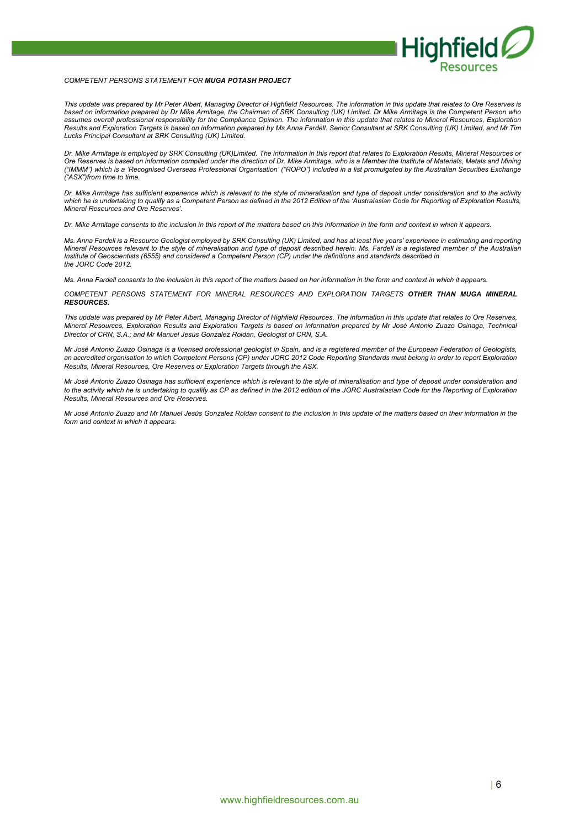

#### *COMPETENT PERSONS STATEMENT FOR MUGA POTASH PROJECT*

*This update was prepared by Mr Peter Albert, Managing Director of Highfield Resources. The information in this update that relates to Ore Reserves is based on information prepared by Dr Mike Armitage, the Chairman of SRK Consulting (UK) Limited. Dr Mike Armitage is the Competent Person who*  assumes overall professional responsibility for the Compliance Opinion. The information in this update that relates to Mineral Resources, Exploration *Results and Exploration Targets is based on information prepared by Ms Anna Fardell. Senior Consultant at SRK Consulting (UK) Limited, and Mr Tim Lucks Principal Consultant at SRK Consulting (UK) Limited.* 

*Dr. Mike Armitage is employed by SRK Consulting (UK)Limited. The information in this report that relates to Exploration Results, Mineral Resources or Ore Reserves is based on information compiled under the direction of Dr. Mike Armitage, who is a Member the Institute of Materials, Metals and Mining ("IMMM") which is a 'Recognised Overseas Professional Organisation' ("ROPO") included in a list promulgated by the Australian Securities Exchange ("ASX")from time to time.* 

*Dr. Mike Armitage has sufficient experience which is relevant to the style of mineralisation and type of deposit under consideration and to the activity*  which he is undertaking to qualify as a Competent Person as defined in the 2012 Edition of the 'Australasian Code for Reporting of Exploration Results, *Mineral Resources and Ore Reserves'.* 

*Dr. Mike Armitage consents to the inclusion in this report of the matters based on this information in the form and context in which it appears.* 

*Ms. Anna Fardell is a Resource Geologist employed by SRK Consulting (UK) Limited, and has at least five years' experience in estimating and reporting Mineral Resources relevant to the style of mineralisation and type of deposit described herein. Ms. Fardell is a registered member of the Australian Institute of Geoscientists (6555) and considered a Competent Person (CP) under the definitions and standards described in the JORC Code 2012.* 

*Ms. Anna Fardell consents to the inclusion in this report of the matters based on her information in the form and context in which it appears.* 

*COMPETENT PERSONS STATEMENT FOR MINERAL RESOURCES AND EXPLORATION TARGETS OTHER THAN MUGA MINERAL RESOURCES.* 

*This update was prepared by Mr Peter Albert, Managing Director of Highfield Resources. The information in this update that relates to Ore Reserves, Mineral Resources, Exploration Results and Exploration Targets is based on information prepared by Mr José Antonio Zuazo Osinaga, Technical Director of CRN, S.A.; and Mr Manuel Jesús Gonzalez Roldan, Geologist of CRN, S.A.* 

*Mr José Antonio Zuazo Osinaga is a licensed professional geologist in Spain, and is a registered member of the European Federation of Geologists,*  an accredited organisation to which Competent Persons (CP) under JORC 2012 Code Reporting Standards must belong in order to report Exploration *Results, Mineral Resources, Ore Reserves or Exploration Targets through the ASX.* 

*Mr José Antonio Zuazo Osinaga has sufficient experience which is relevant to the style of mineralisation and type of deposit under consideration and to the activity which he is undertaking to qualify as CP as defined in the 2012 edition of the JORC Australasian Code for the Reporting of Exploration Results, Mineral Resources and Ore Reserves.* 

*Mr José Antonio Zuazo and Mr Manuel Jesús Gonzalez Roldan consent to the inclusion in this update of the matters based on their information in the form and context in which it appears.*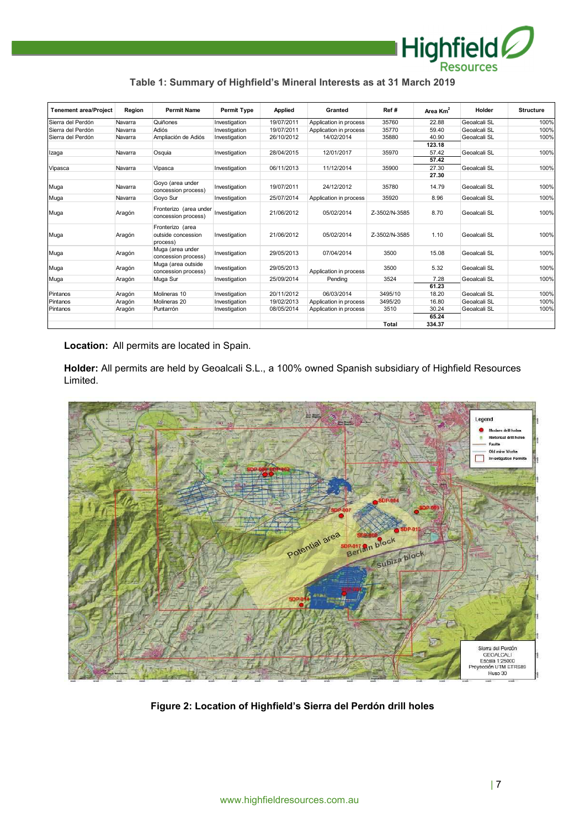

| <b>Tenement area/Project</b> | Region  | <b>Permit Name</b>                                 | <b>Permit Type</b> | Applied    | Granted                | Ref#          | Area $Km2$ | Holder       | <b>Structure</b> |
|------------------------------|---------|----------------------------------------------------|--------------------|------------|------------------------|---------------|------------|--------------|------------------|
| Sierra del Perdón            | Navarra | Quiñones                                           | Investigation      | 19/07/2011 | Application in process | 35760         | 22.88      | Geoalcali SL | 100%             |
| Sierra del Perdón            | Navarra | Adiós                                              | Investigation      | 19/07/2011 | Application in process | 35770         | 59.40      | Geoalcali SL | 100%             |
| Sierra del Perdón            | Navarra | Ampliación de Adiós                                | Investigation      | 26/10/2012 | 14/02/2014             | 35880         | 40.90      | Geoalcali SL | 100%             |
|                              |         |                                                    |                    |            |                        |               | 123.18     |              |                  |
| Izaga                        | Navarra | Osquia                                             | Investigation      | 28/04/2015 | 12/01/2017             | 35970         | 57.42      | Geoalcali SL | 100%             |
|                              |         |                                                    |                    |            |                        |               | 57.42      |              |                  |
| Vipasca                      | Navarra | Vipasca                                            | Investigation      | 06/11/2013 | 11/12/2014             | 35900         | 27.30      | Geoalcali SL | 100%             |
|                              |         |                                                    |                    |            |                        |               | 27.30      |              |                  |
| Muga                         | Navarra | Goyo (area under<br>concession process)            | Investigation      | 19/07/2011 | 24/12/2012             | 35780         | 14.79      | Geoalcali SL | 100%             |
| Muga                         | Navarra | Goyo Sur                                           | Investigation      | 25/07/2014 | Application in process | 35920         | 8.96       | Geoalcali SL | 100%             |
| Muga                         | Aragón  | Fronterizo (area under<br>concession process)      | Investigation      | 21/06/2012 | 05/02/2014             | Z-3502/N-3585 | 8.70       | Geoalcali SL | 100%             |
| Muga                         | Aragón  | Fronterizo (area<br>outside concession<br>process) | Investigation      | 21/06/2012 | 05/02/2014             | Z-3502/N-3585 | 1.10       | Geoalcali SL | 100%             |
| Muga                         | Aragón  | Muga (area under<br>concession process)            | Investigation      | 29/05/2013 | 07/04/2014             | 3500          | 15.08      | Geoalcali SL | 100%             |
| Muga                         | Aragón  | Muga (area outside<br>concession process)          | Investigation      | 29/05/2013 | Application in process | 3500          | 5.32       | Geoalcali SL | 100%             |
| Muga                         | Aragón  | Muga Sur                                           | Investigation      | 25/09/2014 | Pending                | 3524          | 7.28       | Geoalcali SL | 100%             |
|                              |         |                                                    |                    |            |                        |               | 61.23      |              |                  |
| Pintanos                     | Aragón  | Molineras 10                                       | Investigation      | 20/11/2012 | 06/03/2014             | 3495/10       | 18.20      | Geoalcali SL | 100%             |
| Pintanos                     | Aragón  | Molineras 20                                       | Investigation      | 19/02/2013 | Application in process | 3495/20       | 16.80      | Geoalcali SL | 100%             |
| Pintanos                     | Aragón  | Puntarrón                                          | Investigation      | 08/05/2014 | Application in process | 3510          | 30.24      | Geoalcali SL | 100%             |
|                              |         |                                                    |                    |            |                        |               | 65.24      |              |                  |
|                              |         |                                                    |                    |            |                        | Total         | 334.37     |              |                  |

**Location:** All permits are located in Spain.

**Holder:** All permits are held by Geoalcali S.L., a 100% owned Spanish subsidiary of Highfield Resources Limited.



**Figure 2: Location of Highfield's Sierra del Perdón drill holes**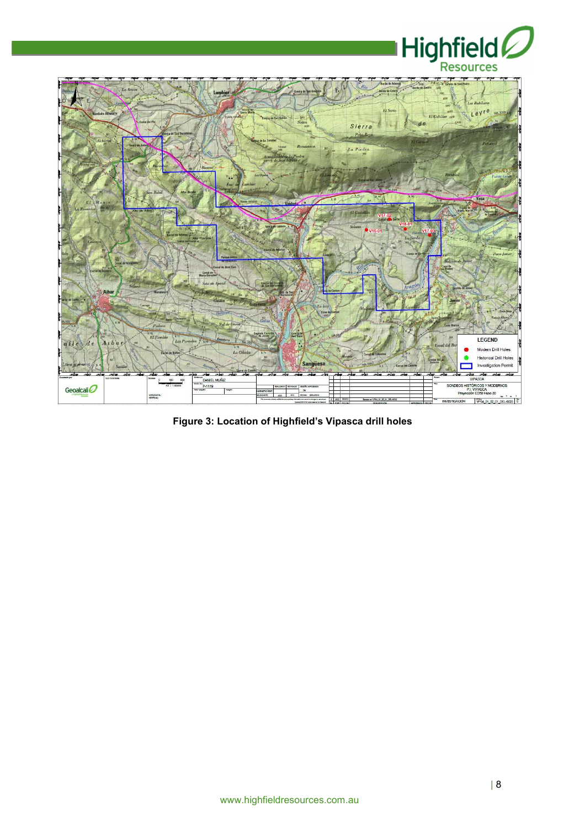



**Figure 3: Location of Highfield's Vipasca drill holes**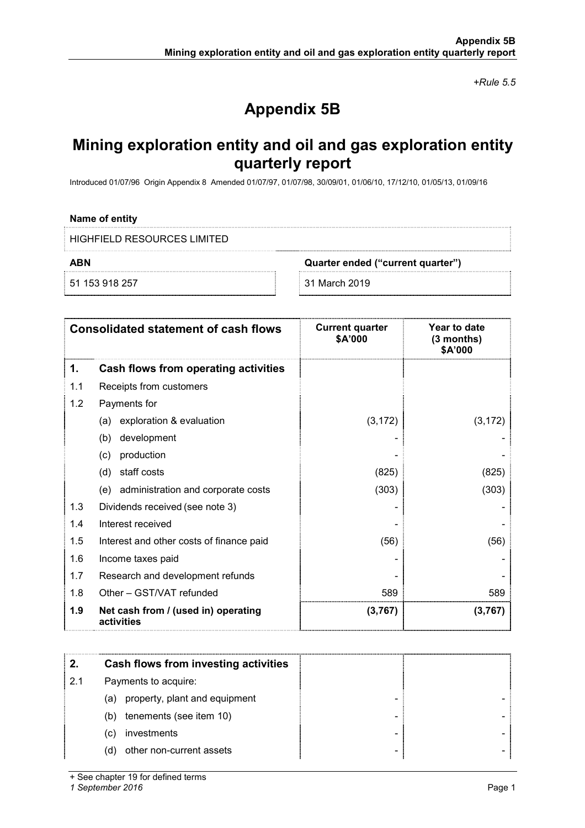*+Rule 5.5* 

# **Appendix 5B**

## **Mining exploration entity and oil and gas exploration entity quarterly report**

Introduced 01/07/96 Origin Appendix 8 Amended 01/07/97, 01/07/98, 30/09/01, 01/06/10, 17/12/10, 01/05/13, 01/09/16

| Name of entity                 |                                   |  |
|--------------------------------|-----------------------------------|--|
| E HIGHFIFLD RESOURCES LIMITED. |                                   |  |
| ABN                            | Quarter ended ("current quarter") |  |
| 51 153 918 257                 | 31 March 2019                     |  |

|     | <b>Consolidated statement of cash flows</b>       | <b>Current quarter</b><br>\$A'000 | Year to date<br>(3 months)<br>\$A'000 |
|-----|---------------------------------------------------|-----------------------------------|---------------------------------------|
| 1.  | Cash flows from operating activities              |                                   |                                       |
| 1.1 | Receipts from customers                           |                                   |                                       |
| 1.2 | Payments for                                      |                                   |                                       |
|     | exploration & evaluation<br>(a)                   | (3, 172)                          | (3, 172)                              |
|     | development<br>(b)                                |                                   |                                       |
|     | production<br>(c)                                 |                                   |                                       |
|     | staff costs<br>(d)                                | (825)                             | (825)                                 |
|     | (e) administration and corporate costs            | (303)                             | (303)                                 |
| 1.3 | Dividends received (see note 3)                   |                                   |                                       |
| 1.4 | Interest received                                 |                                   |                                       |
| 1.5 | Interest and other costs of finance paid          | (56)                              | (56)                                  |
| 1.6 | Income taxes paid                                 |                                   |                                       |
| 1.7 | Research and development refunds                  |                                   |                                       |
| 1.8 | Other - GST/VAT refunded                          | 589                               | 589                                   |
| 1.9 | Net cash from / (used in) operating<br>activities | (3,767)                           | (3,767)                               |

|     | Cash flows from investing activities |  |  |
|-----|--------------------------------------|--|--|
| 2.1 | Payments to acquire:                 |  |  |
|     | property, plant and equipment<br>(a) |  |  |
|     | tenements (see item 10)<br>(b)       |  |  |
|     | investments<br>(C)                   |  |  |
|     | other non-current assets<br>(d)      |  |  |

+ See chapter 19 for defined terms

*1 September 2016* Page 1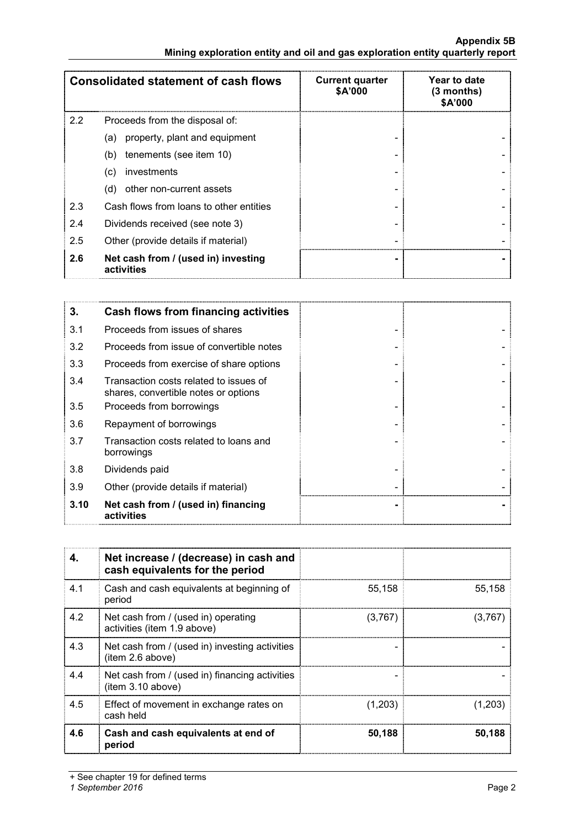|     | <b>Consolidated statement of cash flows</b>       | <b>Current quarter</b><br>\$A'000 | Year to date<br>$(3$ months)<br>\$A'000 |
|-----|---------------------------------------------------|-----------------------------------|-----------------------------------------|
| 2.2 | Proceeds from the disposal of:                    |                                   |                                         |
|     | property, plant and equipment<br>(a)              |                                   |                                         |
|     | tenements (see item 10)<br>(b)                    |                                   |                                         |
|     | investments<br>(C)                                |                                   |                                         |
|     | other non-current assets<br>(d)                   |                                   |                                         |
| 2.3 | Cash flows from loans to other entities           |                                   |                                         |
| 2.4 | Dividends received (see note 3)                   |                                   |                                         |
| 2.5 | Other (provide details if material)               |                                   |                                         |
| 2.6 | Net cash from / (used in) investing<br>activities |                                   |                                         |

| 3.   | <b>Cash flows from financing activities</b>                                    |  |
|------|--------------------------------------------------------------------------------|--|
| 3.1  | Proceeds from issues of shares                                                 |  |
| 3.2  | Proceeds from issue of convertible notes                                       |  |
| 3.3  | Proceeds from exercise of share options                                        |  |
| 3.4  | Transaction costs related to issues of<br>shares, convertible notes or options |  |
| 3.5  | Proceeds from borrowings                                                       |  |
| 3.6  | Repayment of borrowings                                                        |  |
| 3.7  | Transaction costs related to loans and<br>borrowings                           |  |
| 3.8  | Dividends paid                                                                 |  |
| 3.9  | Other (provide details if material)                                            |  |
| 3.10 | Net cash from / (used in) financing<br>activities                              |  |

|     | Net increase / (decrease) in cash and<br>cash equivalents for the period |         |         |
|-----|--------------------------------------------------------------------------|---------|---------|
| 4.1 | Cash and cash equivalents at beginning of<br>period                      | 55.158  | 55.158  |
| 4.2 | Net cash from / (used in) operating<br>activities (item 1.9 above)       | (3,767) | (3,767) |
| 4.3 | Net cash from / (used in) investing activities<br>(item 2.6 above)       |         |         |
| 4.4 | Net cash from / (used in) financing activities<br>(item 3.10 above)      |         |         |
| 4.5 | Effect of movement in exchange rates on<br>cash held                     | (1,203) | (1,203) |
| 4.6 | Cash and cash equivalents at end of<br>period                            | 50,188  | 50,188  |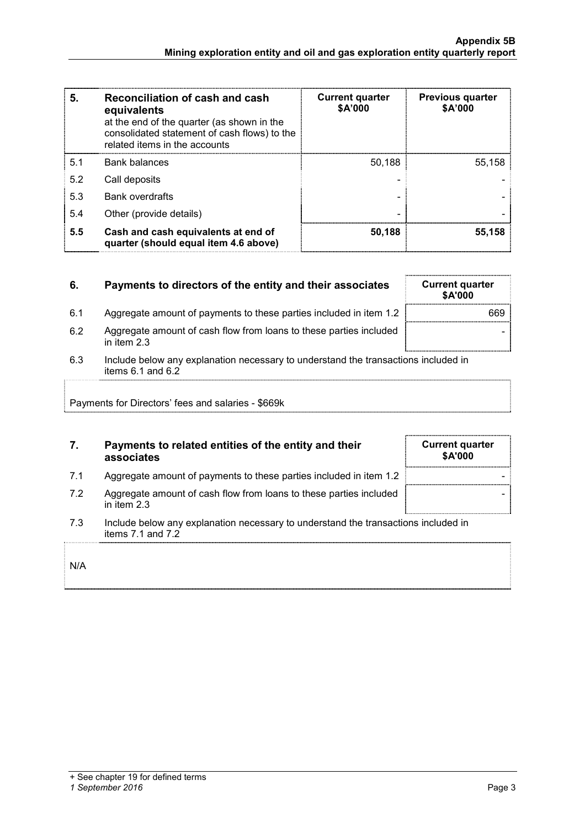| 5.  | Reconciliation of cash and cash<br>equivalents<br>at the end of the quarter (as shown in the<br>consolidated statement of cash flows) to the<br>related items in the accounts | <b>Current quarter</b><br>\$A'000 | <b>Previous quarter</b><br>\$A'000 |
|-----|-------------------------------------------------------------------------------------------------------------------------------------------------------------------------------|-----------------------------------|------------------------------------|
| 5.1 | Bank balances                                                                                                                                                                 | 50.188                            | 55.158                             |
| 5.2 | Call deposits                                                                                                                                                                 |                                   |                                    |
| 5.3 | <b>Bank overdrafts</b>                                                                                                                                                        |                                   |                                    |
| 5.4 | Other (provide details)                                                                                                                                                       |                                   |                                    |
| 5.5 | Cash and cash equivalents at end of<br>quarter (should equal item 4.6 above)                                                                                                  | 50,188                            | 55,158                             |

| 6.  | Payments to directors of the entity and their associates                                                | <b>Current quarter</b><br><b>SA'000</b> |
|-----|---------------------------------------------------------------------------------------------------------|-----------------------------------------|
| 6.1 | Aggregate amount of payments to these parties included in item 1.2                                      | 669                                     |
| 6.2 | Aggregate amount of cash flow from loans to these parties included<br>in item $2.3$                     |                                         |
| 6.3 | Include below any explanation necessary to understand the transactions included in<br>items 6.1 and 6.2 |                                         |
|     | Payments for Directors' fees and salaries - \$669k                                                      |                                         |

## **7. Payments to related entities of the entity and their associates**

- 7.1 Aggregate amount of payments to these parties included in item 1.2
- 7.2 Aggregate amount of cash flow from loans to these parties included in item 2.3
- 7.3 Include below any explanation necessary to understand the transactions included in items 7.1 and 7.2

|--|

### *1 September 2016* Page 3

| <b>Current quarter</b><br>\$A'000 |
|-----------------------------------|
|                                   |
|                                   |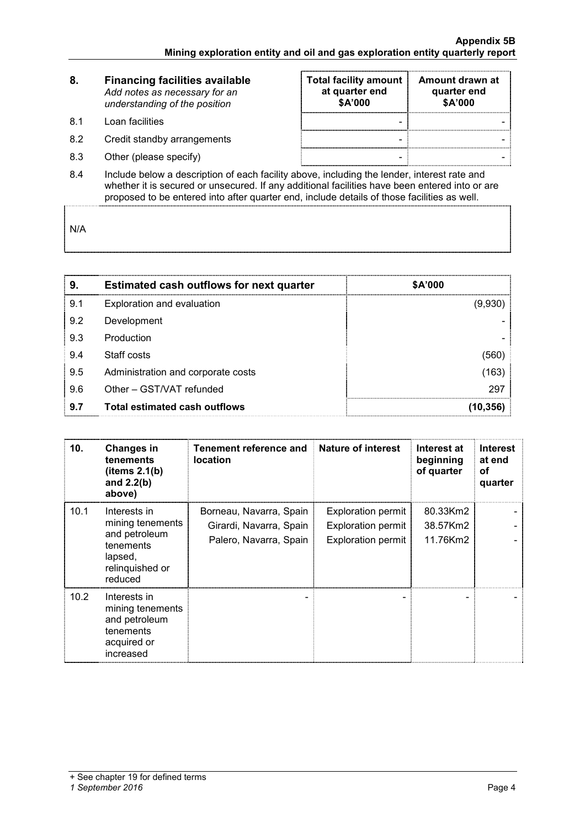| 8.  | <b>Financing facilities available</b><br>Add notes as necessary for an<br>understanding of the position | <b>Total facility amount</b><br>at quarter end<br>\$A'000 | Amount drawn at<br>quarter end<br>\$A'000 |  |  |
|-----|---------------------------------------------------------------------------------------------------------|-----------------------------------------------------------|-------------------------------------------|--|--|
| 81  | Loan facilities                                                                                         |                                                           |                                           |  |  |
| 8.2 | Credit standby arrangements                                                                             |                                                           |                                           |  |  |
| 8.3 | Other (please specify)                                                                                  |                                                           |                                           |  |  |
| 8.4 | Include below a description of each facility above, including the lender, interest rate and             |                                                           |                                           |  |  |

whether it is secured or unsecured. If any additional facilities have been entered into or are proposed to be entered into after quarter end, include details of those facilities as well.

N/A

| 9   | <b>Estimated cash outflows for next quarter</b> | <b>\$A'000</b> |
|-----|-------------------------------------------------|----------------|
| 9.1 | Exploration and evaluation                      | (9.930         |
| 9.2 | Development                                     |                |
| 9.3 | Production                                      |                |
| 9.4 | Staff costs                                     |                |
| 9.5 | Administration and corporate costs              | 163            |
| 9.6 | Other - GST/VAT refunded                        | 297            |
| 9.7 | <b>Total estimated cash outflows</b>            |                |

| 10.  | <b>Changes in</b><br>tenements<br>(items 2.1(b))<br>and $2.2(b)$<br>above)                              | Tenement reference and<br><b>location</b>                                    | Nature of interest                                                                  | Interest at<br>beginning<br>of quarter | <b>Interest</b><br>at end<br>οf<br>quarter |
|------|---------------------------------------------------------------------------------------------------------|------------------------------------------------------------------------------|-------------------------------------------------------------------------------------|----------------------------------------|--------------------------------------------|
| 10.1 | Interests in<br>mining tenements<br>and petroleum<br>tenements<br>lapsed,<br>relinquished or<br>reduced | Borneau, Navarra, Spain<br>Girardi, Navarra, Spain<br>Palero, Navarra, Spain | <b>Exploration permit</b><br><b>Exploration permit</b><br><b>Exploration permit</b> | 80.33Km2<br>38.57Km2<br>11.76Km2       |                                            |
| 10.2 | Interests in<br>mining tenements<br>and petroleum<br>tenements<br>acquired or<br>increased              |                                                                              |                                                                                     |                                        |                                            |